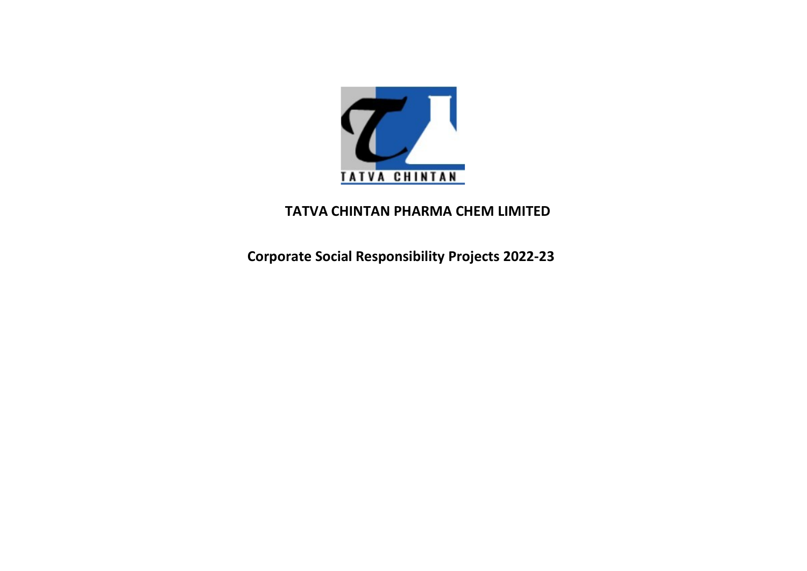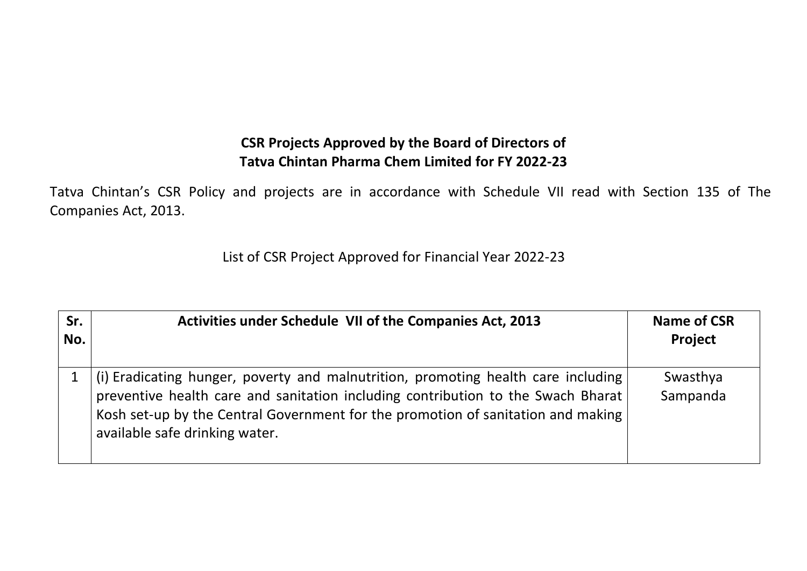CSR Projects Approved by the Board of Directors of<br>Tatva Chintan Pharma Chem Limited for FY 2022-23<br>nd projects are in accordance with Schedule VII read with Section 135 of The CSR Projects Approved by the Board of Directors of<br>Tatva Chintan Pharma Chem Limited for FY 2022-23<br>nd projects are in accordance with Schedule VII read with Section 135 of The CSR Projects Approved by the Board of Directors of<br>Tatva Chintan Pharma Chem Limited for FY 2022-23<br>Tatva Chintan's CSR Policy and projects are in accordance with Schedule VII read with Section 135 of The<br>List of CSR Proje CSR Projects Approved by the Boar<br>
Tatva Chintan's CSR Policy and projects are in accordance wit<br>
Companies Act, 2013.<br>
List of CSR Project Approved for Finance CSR Projects Approved by the Board of Directors of<br>
Tatva Chintan Pharma Chem Limited for FY 2022-23<br>
The and projects are in accordance with Schedule VII read with Section 135 of The<br>
List of CSR Project Approved for Fina

|                                                                                                                                 | <b>CSR Projects Approved by the Board of Directors of</b><br><b>Tatva Chintan Pharma Chem Limited for FY 2022-23</b> |                               |  |  |
|---------------------------------------------------------------------------------------------------------------------------------|----------------------------------------------------------------------------------------------------------------------|-------------------------------|--|--|
| atva Chintan's CSR Policy and projects are in accordance with Schedule VII read with Section 135 of The<br>companies Act, 2013. |                                                                                                                      |                               |  |  |
| List of CSR Project Approved for Financial Year 2022-23                                                                         |                                                                                                                      |                               |  |  |
|                                                                                                                                 |                                                                                                                      |                               |  |  |
| Sr.<br>No.                                                                                                                      | Activities under Schedule VII of the Companies Act, 2013                                                             | <b>Name of CSR</b><br>Project |  |  |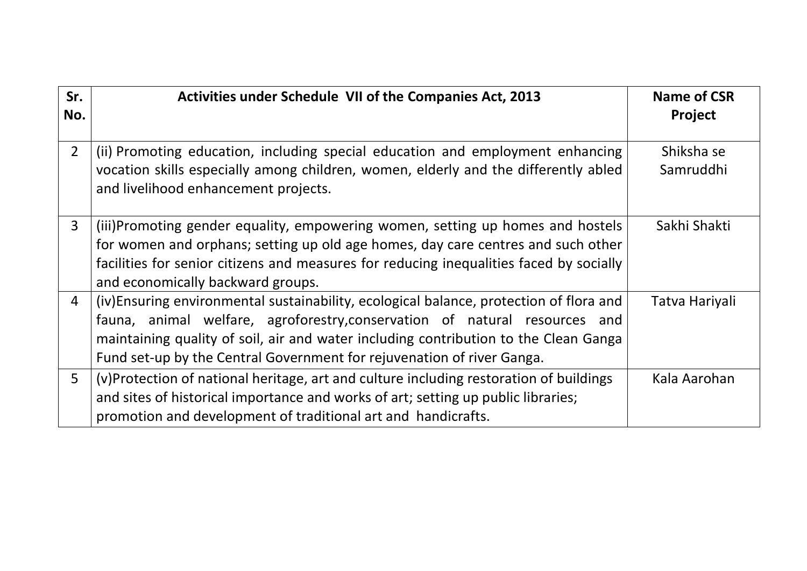| Sr.<br>No.     | <b>Activities under Schedule VII of the Companies Act, 2013</b>                                                                                                                                                                                                                                                                        | Name of CSR<br><b>Project</b> |
|----------------|----------------------------------------------------------------------------------------------------------------------------------------------------------------------------------------------------------------------------------------------------------------------------------------------------------------------------------------|-------------------------------|
| $\overline{2}$ | (ii) Promoting education, including special education and employment enhancing<br>vocation skills especially among children, women, elderly and the differently abled<br>and livelihood enhancement projects.                                                                                                                          | Shiksha se<br>Samruddhi       |
| $\mathbf{3}$   | (iii)Promoting gender equality, empowering women, setting up homes and hostels<br>for women and orphans; setting up old age homes, day care centres and such other<br>facilities for senior citizens and measures for reducing inequalities faced by socially<br>and economically backward groups.                                     | Sakhi Shakti                  |
| 4              | (iv)Ensuring environmental sustainability, ecological balance, protection of flora and<br>fauna, animal welfare, agroforestry, conservation of natural resources and<br>maintaining quality of soil, air and water including contribution to the Clean Ganga<br>Fund set-up by the Central Government for rejuvenation of river Ganga. | Tatva Hariyali                |
| 5              | (v)Protection of national heritage, art and culture including restoration of buildings<br>and sites of historical importance and works of art; setting up public libraries;<br>promotion and development of traditional art and handicrafts.                                                                                           | Kala Aarohan                  |